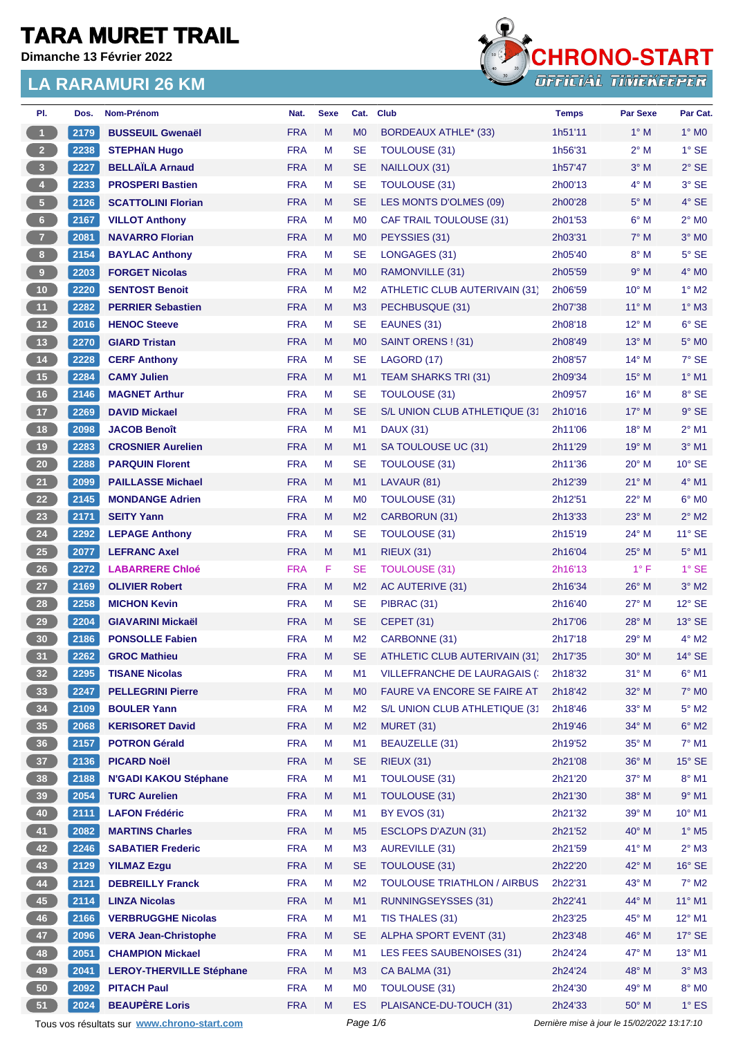**Dimanche 13 Février 2022**



| PI.                     | Dos. | Nom-Prénom                                  | Nat.                     | <b>Sexe</b> | Cat.                        | <b>Club</b>                         | Temps                                       | <b>Par Sexe</b> | Par Cat.                 |
|-------------------------|------|---------------------------------------------|--------------------------|-------------|-----------------------------|-------------------------------------|---------------------------------------------|-----------------|--------------------------|
| $\vert$ 1               | 2179 | <b>BUSSEUIL Gwenaël</b>                     | <b>FRA</b>               | M           | M <sub>0</sub>              | BORDEAUX ATHLE* (33)                | 1h51'11                                     | $1^\circ$ M     | $1^\circ$ MO             |
| $\overline{2}$          | 2238 | <b>STEPHAN Hugo</b>                         | <b>FRA</b>               | M           | <b>SE</b>                   | <b>TOULOUSE (31)</b>                | 1h56'31                                     | $2^{\circ}$ M   | $1^\circ$ SE             |
| $\overline{\mathbf{3}}$ | 2227 | <b>BELLAÏLA Arnaud</b>                      | <b>FRA</b>               | M           | <b>SE</b>                   | NAILLOUX (31)                       | 1h57'47                                     | $3^\circ$ M     | $2^{\circ}$ SE           |
| $\overline{\mathbf{4}}$ | 2233 | <b>PROSPERI Bastien</b>                     | <b>FRA</b>               | M           | SE                          | <b>TOULOUSE (31)</b>                | 2h00'13                                     | $4^\circ$ M     | 3° SE                    |
| $\sqrt{5}$              | 2126 | <b>SCATTOLINI Florian</b>                   | <b>FRA</b>               | M           | SE                          | LES MONTS D'OLMES (09)              | 2h00'28                                     | $5^\circ$ M     | 4° SE                    |
| $6\phantom{.}6$         | 2167 | <b>VILLOT Anthony</b>                       | <b>FRA</b>               | M           | M <sub>0</sub>              | CAF TRAIL TOULOUSE (31)             | 2h01'53                                     | $6^\circ$ M     | $2^{\circ}$ MO           |
| $\overline{7}$          | 2081 | <b>NAVARRO Florian</b>                      | <b>FRA</b>               | M           | M <sub>0</sub>              | PEYSSIES (31)                       | 2h03'31                                     | $7^\circ$ M     | $3°$ MO                  |
| 8 <sup>1</sup>          | 2154 | <b>BAYLAC Anthony</b>                       | <b>FRA</b>               | M           | SE                          | LONGAGES (31)                       | 2h05'40                                     | $8^\circ$ M     | 5° SE                    |
| $\overline{9}$          | 2203 | <b>FORGET Nicolas</b>                       | <b>FRA</b>               | M           | M <sub>0</sub>              | RAMONVILLE (31)                     | 2h05'59                                     | 9° M            | $4^\circ$ MO             |
| 10                      | 2220 | <b>SENTOST Benoit</b>                       | <b>FRA</b>               | M           | M <sub>2</sub>              | ATHLETIC CLUB AUTERIVAIN (31)       | 2h06'59                                     | $10^{\circ}$ M  | $1^\circ$ M2             |
| 11                      | 2282 | <b>PERRIER Sebastien</b>                    | <b>FRA</b>               | M           | M <sub>3</sub>              | PECHBUSQUE (31)                     | 2h07'38                                     | $11^{\circ}$ M  | $1^\circ$ M3             |
| 12 <sup>7</sup>         | 2016 | <b>HENOC Steeve</b>                         | <b>FRA</b>               | M           | <b>SE</b>                   | EAUNES (31)                         | 2h08'18                                     | $12^{\circ}$ M  | $6°$ SE                  |
| 13                      | 2270 | <b>GIARD Tristan</b>                        | <b>FRA</b>               | M           | M <sub>0</sub>              | SAINT ORENS ! (31)                  | 2h08'49                                     | $13^\circ$ M    | 5° M <sub>0</sub>        |
| 14                      | 2228 | <b>CERF Anthony</b>                         | <b>FRA</b>               | M           | <b>SE</b>                   | LAGORD (17)                         | 2h08'57                                     | $14^{\circ}$ M  | $7°$ SE                  |
| 15                      | 2284 | <b>CAMY Julien</b>                          | <b>FRA</b>               | M           | M1                          | TEAM SHARKS TRI (31)                | 2h09'34                                     | $15^{\circ}$ M  | $1^\circ$ M1             |
| 16                      | 2146 | <b>MAGNET Arthur</b>                        | <b>FRA</b>               | M           | <b>SE</b>                   | <b>TOULOUSE (31)</b>                | 2h09'57                                     | 16° M           | 8° SE                    |
| 17                      | 2269 | <b>DAVID Mickael</b>                        | <b>FRA</b>               | M           | <b>SE</b>                   | S/L UNION CLUB ATHLETIQUE (31       | 2h10'16                                     | $17^{\circ}$ M  | $9°$ SE                  |
| 18                      | 2098 | <b>JACOB Benoît</b>                         | <b>FRA</b>               | M           | M1                          | <b>DAUX (31)</b>                    | 2h11'06                                     | 18° M           | $2^{\circ}$ M1           |
| 19                      | 2283 | <b>CROSNIER Aurelien</b>                    | <b>FRA</b>               | M           | M1                          | SA TOULOUSE UC (31)                 | 2h11'29                                     | $19^{\circ}$ M  | $3°$ M1                  |
| $20\degree$             | 2288 | <b>PARQUIN Florent</b>                      | <b>FRA</b>               | M           | <b>SE</b>                   | <b>TOULOUSE (31)</b>                | 2h11'36                                     | $20^\circ$ M    | $10^{\circ}$ SE          |
| 21                      | 2099 | <b>PAILLASSE Michael</b>                    | <b>FRA</b>               | M           | M1                          | LAVAUR (81)                         | 2h12'39                                     | $21°$ M         | $4^\circ$ M1             |
| 22                      | 2145 | <b>MONDANGE Adrien</b>                      | <b>FRA</b>               | M           | M <sub>0</sub>              | <b>TOULOUSE (31)</b>                | 2h12'51                                     | 22° M           | $6°$ MO                  |
| 23                      | 2171 | <b>SEITY Yann</b>                           | <b>FRA</b>               | M           | M <sub>2</sub>              | CARBORUN (31)                       | 2h13'33                                     | $23^\circ$ M    | $2^{\circ}$ M2           |
| ${\bf 24}$              | 2292 | <b>LEPAGE Anthony</b>                       | <b>FRA</b>               | М           | <b>SE</b>                   | <b>TOULOUSE (31)</b>                | 2h15'19                                     | 24° M           | $11^{\circ}$ SE          |
| 25                      | 2077 | <b>LEFRANC Axel</b>                         | <b>FRA</b>               | M           | M1                          | <b>RIEUX (31)</b>                   | 2h16'04                                     | $25^{\circ}$ M  | $5^\circ$ M1             |
| 26                      | 2272 | <b>LABARRERE Chloé</b>                      | <b>FRA</b>               | F           | SE                          | <b>TOULOUSE (31)</b>                | 2h16'13                                     | $1^{\circ}$ F   | $1^\circ$ SE             |
| $27\,$                  | 2169 | <b>OLIVIER Robert</b>                       | <b>FRA</b>               | M           | M <sub>2</sub>              | AC AUTERIVE (31)                    | 2h16'34                                     | $26^{\circ}$ M  | $3°$ M2                  |
| 28                      | 2258 | <b>MICHON Kevin</b>                         | <b>FRA</b>               | M           | <b>SE</b>                   | PIBRAC (31)                         | 2h16'40                                     | $27^\circ$ M    | $12^{\circ}$ SE          |
| 29                      | 2204 |                                             |                          |             |                             |                                     |                                             |                 |                          |
|                         |      | <b>GIAVARINI Mickaël</b>                    | <b>FRA</b><br><b>FRA</b> | M<br>M      | <b>SE</b><br>M <sub>2</sub> | <b>CEPET (31)</b>                   | 2h17'06<br>2h17'18                          | 28° M<br>29° M  | 13° SE<br>$4^\circ$ M2   |
| 30                      | 2186 | <b>PONSOLLE Fabien</b>                      |                          |             |                             | CARBONNE (31)                       |                                             |                 |                          |
| 31                      | 2262 | <b>GROC Mathieu</b>                         | <b>FRA</b>               | M           | <b>SE</b>                   | ATHLETIC CLUB AUTERIVAIN (31)       | 2h17'35                                     | $30^\circ$ M    | $14^{\circ}$ SE          |
| 32 <sub>2</sub>         | 2295 | <b>TISANE Nicolas</b>                       | <b>FRA</b>               | М           | M <sub>1</sub>              | <b>VILLEFRANCHE DE LAURAGAIS (:</b> | 2h18'32                                     | $31^\circ$ M    | $6^{\circ}$ M1           |
| 33                      | 2247 | <b>PELLEGRINI Pierre</b>                    | <b>FRA</b>               | M           | M <sub>0</sub>              | FAURE VA ENCORE SE FAIRE AT         | 2h18'42                                     | 32° M           | 7° M0                    |
| 34                      | 2109 | <b>BOULER Yann</b>                          | <b>FRA</b>               | M           | M <sub>2</sub>              | S/L UNION CLUB ATHLETIQUE (31       | 2h18'46                                     | $33^\circ$ M    | $5^\circ$ M2             |
| 35 <sub>5</sub>         | 2068 | <b>KERISORET David</b>                      | <b>FRA</b>               | M           | M <sub>2</sub>              | <b>MURET (31)</b>                   | 2h19'46                                     | 34° M           | $6^\circ$ M2             |
| 36                      | 2157 | <b>POTRON Gérald</b>                        | <b>FRA</b>               | M           | M1                          | BEAUZELLE (31)                      | 2h19'52                                     | 35° M           | $7^\circ$ M1             |
| 37 <sup>°</sup>         | 2136 | <b>PICARD Noël</b>                          | <b>FRA</b>               | M           | <b>SE</b>                   | <b>RIEUX (31)</b>                   | 2h21'08                                     | 36° M           | $15^\circ$ SE            |
| 38                      | 2188 | <b>N'GADI KAKOU Stéphane</b>                | <b>FRA</b>               | M           | M1                          | <b>TOULOUSE (31)</b>                | 2h21'20                                     | 37° M           | $8^\circ$ M1             |
| 39                      | 2054 | <b>TURC Aurelien</b>                        | <b>FRA</b>               | M           | M1                          | <b>TOULOUSE (31)</b>                | 2h21'30                                     | 38° M           | $9°$ M1                  |
| 40                      | 2111 | <b>LAFON Frédéric</b>                       | <b>FRA</b>               | M           | M1                          | BY EVOS (31)                        | 2h21'32                                     | 39° M           | 10° M1                   |
| 41                      | 2082 | <b>MARTINS Charles</b>                      | <b>FRA</b>               | M           | M <sub>5</sub>              | <b>ESCLOPS D'AZUN (31)</b>          | 2h21'52                                     | 40° M           | $1^\circ$ M <sub>5</sub> |
| 42                      | 2246 | <b>SABATIER Frederic</b>                    | <b>FRA</b>               | M           | M <sub>3</sub>              | <b>AUREVILLE (31)</b>               | 2h21'59                                     | 41° M           | $2^\circ$ M3             |
| 43                      | 2129 | <b>YILMAZ Ezgu</b>                          | <b>FRA</b>               | M           | <b>SE</b>                   | TOULOUSE (31)                       | 2h22'20                                     | 42° M           | $16^\circ$ SE            |
| 44                      | 2121 | <b>DEBREILLY Franck</b>                     | <b>FRA</b>               | M           | M <sub>2</sub>              | <b>TOULOUSE TRIATHLON / AIRBUS</b>  | 2h22'31                                     | 43° M           | $7^\circ$ M2             |
| 45                      | 2114 | <b>LINZA Nicolas</b>                        | <b>FRA</b>               | M           | M <sub>1</sub>              | RUNNINGSEYSSES (31)                 | 2h22'41                                     | 44° M           | $11^{\circ}$ M1          |
| 46                      | 2166 | <b>VERBRUGGHE Nicolas</b>                   | <b>FRA</b>               | M           | M1                          | TIS THALES (31)                     | 2h23'25                                     | 45° M           | 12° M1                   |
| 47                      | 2096 | <b>VERA Jean-Christophe</b>                 | <b>FRA</b>               | M           | <b>SE</b>                   | ALPHA SPORT EVENT (31)              | 2h23'48                                     | 46° M           | 17° SE                   |
| 48                      | 2051 | <b>CHAMPION Mickael</b>                     | <b>FRA</b>               | M           | M1                          | LES FEES SAUBENOISES (31)           | 2h24'24                                     | 47° M           | $13^{\circ}$ M1          |
| 49                      | 2041 | <b>LEROY-THERVILLE Stéphane</b>             | <b>FRA</b>               | M           | M3                          | CA BALMA (31)                       | 2h24'24                                     | 48° M           | $3^\circ$ M3             |
| 50                      | 2092 | <b>PITACH Paul</b>                          | <b>FRA</b>               | M           | M <sub>0</sub>              | <b>TOULOUSE (31)</b>                | 2h24'30                                     | 49° M           | $8^\circ$ MO             |
| 51                      | 2024 | <b>BEAUPÈRE Loris</b>                       | <b>FRA</b>               | M           | ES                          | PLAISANCE-DU-TOUCH (31)             | 2h24'33                                     | 50° M           | $1^\circ$ ES             |
|                         |      | Tous vos résultats sur www.chrono-start.com |                          |             | Page 1/6                    |                                     | Dernière mise à jour le 15/02/2022 13:17:10 |                 |                          |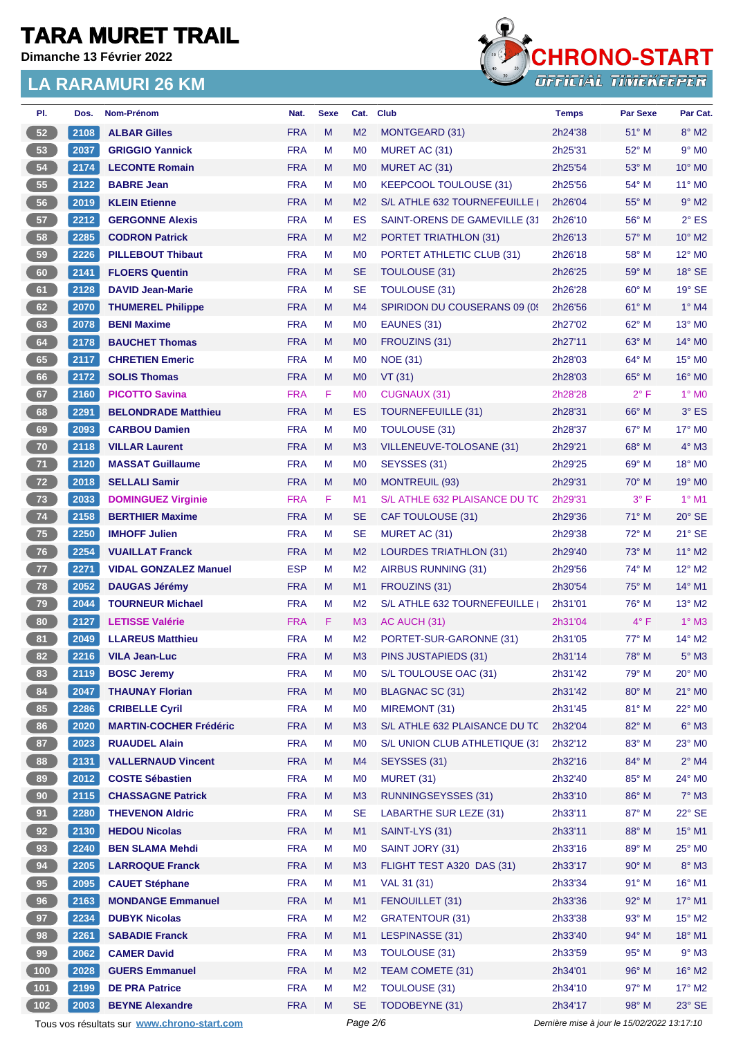**Dimanche 13 Février 2022**



| PI.             | Dos. | Nom-Prénom                                  | Nat.       | <b>Sexe</b> | Cat.           | <b>Club</b>                   | <b>Temps</b>                                | <b>Par Sexe</b> | Par Cat.                      |
|-----------------|------|---------------------------------------------|------------|-------------|----------------|-------------------------------|---------------------------------------------|-----------------|-------------------------------|
| 52              | 2108 | <b>ALBAR Gilles</b>                         | <b>FRA</b> | M           | M <sub>2</sub> | MONTGEARD (31)                | 2h24'38                                     | 51° M           | $8^\circ$ M2                  |
| 53              | 2037 | <b>GRIGGIO Yannick</b>                      | <b>FRA</b> | М           | M <sub>0</sub> | MURET AC (31)                 | 2h25'31                                     | 52° M           | $9°$ M <sub>0</sub>           |
| 54              | 2174 | <b>LECONTE Romain</b>                       | <b>FRA</b> | M           | M <sub>0</sub> | MURET AC (31)                 | 2h25'54                                     | 53° M           | $10^{\circ}$ MO               |
| 55              | 2122 | <b>BABRE Jean</b>                           | <b>FRA</b> | М           | M <sub>0</sub> | <b>KEEPCOOL TOULOUSE (31)</b> | 2h25'56                                     | 54° M           | $11^{\circ}$ MO               |
| 56              | 2019 | <b>KLEIN Etienne</b>                        | <b>FRA</b> | M           | M <sub>2</sub> | S/L ATHLE 632 TOURNEFEUILLE   | 2h26'04                                     | 55° M           | $9°$ M2                       |
| 57              | 2212 | <b>GERGONNE Alexis</b>                      | <b>FRA</b> | М           | ES             | SAINT-ORENS DE GAMEVILLE (31  | 2h26'10                                     | 56° M           | $2^{\circ}$ ES                |
| 58              | 2285 | <b>CODRON Patrick</b>                       | <b>FRA</b> | M           | M <sub>2</sub> | <b>PORTET TRIATHLON (31)</b>  | 2h26'13                                     | $57^\circ$ M    | $10^{\circ}$ M2               |
| 59              | 2226 | <b>PILLEBOUT Thibaut</b>                    | <b>FRA</b> | М           | M <sub>0</sub> | PORTET ATHLETIC CLUB (31)     | 2h26'18                                     | $58^\circ$ M    | 12° M <sub>0</sub>            |
| 60              | 2141 | <b>FLOERS Quentin</b>                       | <b>FRA</b> | M           | <b>SE</b>      | TOULOUSE (31)                 | 2h26'25                                     | $59^{\circ}$ M  | $18^\circ$ SE                 |
| 61              | 2128 | <b>DAVID Jean-Marie</b>                     | <b>FRA</b> | М           | <b>SE</b>      | <b>TOULOUSE (31)</b>          | 2h26'28                                     | 60° M           | $19°$ SE                      |
| 62              | 2070 | <b>THUMEREL Philippe</b>                    | <b>FRA</b> | M           | M4             | SPIRIDON DU COUSERANS 09 (09) | 2h26'56                                     | 61° M           | $1^\circ$ M4                  |
| 63              | 2078 | <b>BENI Maxime</b>                          | <b>FRA</b> | М           | M <sub>0</sub> | EAUNES (31)                   | 2h27'02                                     | 62° M           | 13° MO                        |
| 64              | 2178 | <b>BAUCHET Thomas</b>                       | <b>FRA</b> | M           | M <sub>0</sub> | FROUZINS (31)                 | 2h27'11                                     | $63^\circ$ M    | 14° MO                        |
| 65              | 2117 | <b>CHRETIEN Emeric</b>                      | <b>FRA</b> | М           | M <sub>0</sub> | <b>NOE (31)</b>               | 2h28'03                                     | $64^{\circ}$ M  | $15^\circ$ MO                 |
| 66              | 2172 | <b>SOLIS Thomas</b>                         | <b>FRA</b> | M           | M <sub>0</sub> | VT(31)                        | 2h28'03                                     | $65^\circ$ M    | $16^\circ$ MO                 |
| 67              | 2160 | <b>PICOTTO Savina</b>                       | <b>FRA</b> | F.          | M <sub>0</sub> | <b>CUGNAUX (31)</b>           | 2h28'28                                     | $2^{\circ}$ F   | $1^\circ$ MO                  |
| 68              | 2291 | <b>BELONDRADE Matthieu</b>                  | <b>FRA</b> | M           | ES             | <b>TOURNEFEUILLE (31)</b>     | 2h28'31                                     | $66^{\circ}$ M  | $3^\circ$ ES                  |
| 69              | 2093 | <b>CARBOU Damien</b>                        | <b>FRA</b> | М           | M <sub>0</sub> | <b>TOULOUSE (31)</b>          | 2h28'37                                     | 67° M           | $17^\circ$ MO                 |
| 70              | 2118 | <b>VILLAR Laurent</b>                       | <b>FRA</b> | M           | M <sub>3</sub> | VILLENEUVE-TOLOSANE (31)      | 2h29'21                                     | 68° M           | $4^\circ$ M3                  |
| $71$            | 2120 | <b>MASSAT Guillaume</b>                     | <b>FRA</b> | М           | M <sub>0</sub> | SEYSSES (31)                  | 2h29'25                                     | $69°$ M         | $18^\circ$ MO                 |
| 72              | 2018 | <b>SELLALI Samir</b>                        | <b>FRA</b> | M           | M <sub>0</sub> | <b>MONTREUIL (93)</b>         | 2h29'31                                     | $70^\circ$ M    | 19° M <sub>0</sub>            |
| 73              | 2033 | <b>DOMINGUEZ Virginie</b>                   | <b>FRA</b> | F           | M1             | S/L ATHLE 632 PLAISANCE DU TC | 2h29'31                                     | $3^{\circ}$ F   | $1°$ M1                       |
| 74              | 2158 | <b>BERTHIER Maxime</b>                      | <b>FRA</b> | M           | <b>SE</b>      | CAF TOULOUSE (31)             | 2h29'36                                     | $71^\circ$ M    | $20^\circ$ SE                 |
| 75              | 2250 | <b>IMHOFF Julien</b>                        | <b>FRA</b> | М           | <b>SE</b>      | MURET AC (31)                 | 2h29'38                                     | $72^{\circ}$ M  | $21^\circ$ SE                 |
| 76              | 2254 | <b>VUAILLAT Franck</b>                      | <b>FRA</b> | M           | M <sub>2</sub> | <b>LOURDES TRIATHLON (31)</b> | 2h29'40                                     | 73° M           | 11° M2                        |
| $77$            | 2271 | <b>VIDAL GONZALEZ Manuel</b>                | <b>ESP</b> | М           | M <sub>2</sub> | AIRBUS RUNNING (31)           | 2h29'56                                     | 74° M           | 12° M2                        |
| 78              | 2052 | <b>DAUGAS Jérémy</b>                        | <b>FRA</b> | M           | M1             | FROUZINS (31)                 | 2h30'54                                     | $75^\circ$ M    | 14° M1                        |
|                 | 2044 |                                             | <b>FRA</b> |             |                |                               |                                             |                 |                               |
| 79              |      | <b>TOURNEUR Michael</b>                     |            | М           | M <sub>2</sub> | S/L ATHLE 632 TOURNEFEUILLE   | 2h31'01                                     | 76° M           | $13^\circ$ M2<br>$1^\circ$ M3 |
| 80              | 2127 | <b>LETISSE Valérie</b>                      | <b>FRA</b> | F.          | M <sub>3</sub> | AC AUCH (31)                  | 2h31'04                                     | $4^{\circ}$ F   |                               |
| 81              | 2049 | <b>LLAREUS Matthieu</b>                     | <b>FRA</b> | М           | M <sub>2</sub> | PORTET-SUR-GARONNE (31)       | 2h31'05                                     | $77^\circ$ M    | $14^{\circ}$ M2               |
| 82              | 2216 | <b>VILA Jean-Luc</b>                        | <b>FRA</b> | М           | M <sub>3</sub> | PINS JUSTAPIEDS (31)          | 2h31'14                                     | $78^{\circ}$ M  | $5^\circ$ M3                  |
| 83              | 2119 | <b>BOSC Jeremy</b>                          | <b>FRA</b> | M           | M <sub>0</sub> | S/L TOULOUSE OAC (31)         | 2h31'42                                     | 79° M           | 20° MO                        |
| 84              | 2047 | <b>THAUNAY Florian</b>                      | <b>FRA</b> | M           | M <sub>0</sub> | BLAGNAC SC (31)               | 2h31'42                                     | 80° M           | $21^\circ$ MO                 |
| 85              | 2286 | <b>CRIBELLE Cyril</b>                       | <b>FRA</b> | M           | M <sub>0</sub> | MIREMONT (31)                 | 2h31'45                                     | 81° M           | 22° MO                        |
| 86              | 2020 | <b>MARTIN-COCHER Frédéric</b>               | <b>FRA</b> | M           | M <sub>3</sub> | S/L ATHLE 632 PLAISANCE DU TC | 2h32'04                                     | 82° M           | $6^\circ$ M3                  |
| 87              | 2023 | <b>RUAUDEL Alain</b>                        | <b>FRA</b> | М           | M <sub>0</sub> | S/L UNION CLUB ATHLETIQUE (31 | 2h32'12                                     | 83° M           | 23° MO                        |
| 88              | 2131 | <b>VALLERNAUD Vincent</b>                   | <b>FRA</b> | M           | M4             | SEYSSES (31)                  | 2h32'16                                     | 84° M           | $2^{\circ}$ M4                |
| 89              | 2012 | <b>COSTE Sébastien</b>                      | <b>FRA</b> | M           | M <sub>0</sub> | MURET (31)                    | 2h32'40                                     | 85° M           | 24° M0                        |
| 90 <sub>o</sub> | 2115 | <b>CHASSAGNE Patrick</b>                    | <b>FRA</b> | M           | M <sub>3</sub> | RUNNINGSEYSSES (31)           | 2h33'10                                     | 86° M           | $7^\circ$ M3                  |
| 91              | 2280 | <b>THEVENON Aldric</b>                      | <b>FRA</b> | M           | <b>SE</b>      | <b>LABARTHE SUR LEZE (31)</b> | 2h33'11                                     | 87° M           | 22° SE                        |
| 92              | 2130 | <b>HEDOU Nicolas</b>                        | <b>FRA</b> | M           | M1             | SAINT-LYS (31)                | 2h33'11                                     | 88° M           | 15° M1                        |
| 93              | 2240 | <b>BEN SLAMA Mehdi</b>                      | <b>FRA</b> | M           | M <sub>0</sub> | SAINT JORY (31)               | 2h33'16                                     | 89° M           | 25° MO                        |
| 94              | 2205 | <b>LARROQUE Franck</b>                      | <b>FRA</b> | M           | M <sub>3</sub> | FLIGHT TEST A320 DAS (31)     | 2h33'17                                     | 90° M           | $8^\circ$ M3                  |
| 95              | 2095 | <b>CAUET Stéphane</b>                       | <b>FRA</b> | M           | M1             | VAL 31 (31)                   | 2h33'34                                     | 91° M           | $16^{\circ}$ M1               |
| 96              | 2163 | <b>MONDANGE Emmanuel</b>                    | <b>FRA</b> | M           | M1             | FENOUILLET (31)               | 2h33'36                                     | 92° M           | 17° M1                        |
| 97              | 2234 | <b>DUBYK Nicolas</b>                        | <b>FRA</b> | M           | M <sub>2</sub> | GRATENTOUR (31)               | 2h33'38                                     | $93^\circ$ M    | $15^{\circ}$ M2               |
| 98              | 2261 | <b>SABADIE Franck</b>                       | <b>FRA</b> | M           | M1             | LESPINASSE (31)               | 2h33'40                                     | 94° M           | $18^{\circ}$ M1               |
| 99              | 2062 | <b>CAMER David</b>                          | <b>FRA</b> | М           | M <sub>3</sub> | TOULOUSE (31)                 | 2h33'59                                     | 95° M           | $9°$ M3                       |
| $\boxed{100}$   | 2028 | <b>GUERS Emmanuel</b>                       | <b>FRA</b> | M           | M <sub>2</sub> | TEAM COMETE (31)              | 2h34'01                                     | 96° M           | 16° M2                        |
| $101$           | 2199 | <b>DE PRA Patrice</b>                       | <b>FRA</b> | M           | M <sub>2</sub> | <b>TOULOUSE (31)</b>          | 2h34'10                                     | 97° M           | $17^\circ$ M2                 |
| 102             | 2003 | <b>BEYNE Alexandre</b>                      | <b>FRA</b> | M           | <b>SE</b>      | TODOBEYNE (31)                | 2h34'17                                     | 98° M           | $23^\circ$ SE                 |
|                 |      | Tous vos résultats sur www.chrono-start.com |            |             | Page 2/6       |                               | Dernière mise à jour le 15/02/2022 13:17:10 |                 |                               |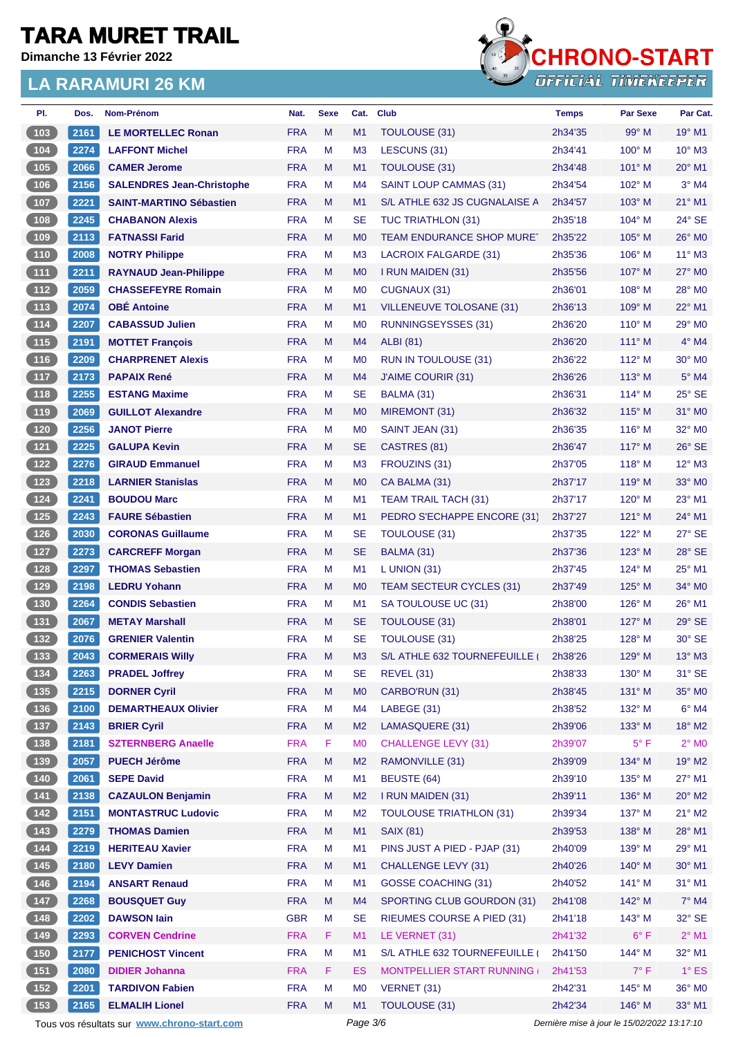**Dimanche 13 Février 2022**



| PI.                                              | Dos. | Nom-Prénom                                  | Nat.       | <b>Sexe</b> | Cat.           | <b>Club</b>                      | <b>Temps</b>       | <b>Par Sexe</b>                             | Par Cat.                  |
|--------------------------------------------------|------|---------------------------------------------|------------|-------------|----------------|----------------------------------|--------------------|---------------------------------------------|---------------------------|
| 103                                              | 2161 | <b>LE MORTELLEC Ronan</b>                   | <b>FRA</b> | M           | M1             | <b>TOULOUSE (31)</b>             | 2h34'35            | $99^\circ$ M                                | $19°$ M1                  |
| $\sqrt{104}$                                     | 2274 | <b>LAFFONT Michel</b>                       | <b>FRA</b> | М           | M <sub>3</sub> | LESCUNS (31)                     | 2h34'41            | $100^\circ$ M                               | $10^{\circ}$ M3           |
| $105$                                            | 2066 | <b>CAMER Jerome</b>                         | <b>FRA</b> | M           | M <sub>1</sub> | <b>TOULOUSE (31)</b>             | 2h34'48            | 101° M                                      | $20^\circ$ M1             |
| 106                                              | 2156 | <b>SALENDRES Jean-Christophe</b>            | <b>FRA</b> | М           | M4             | <b>SAINT LOUP CAMMAS (31)</b>    | 2h34'54            | $102^\circ$ M                               | $3°$ M4                   |
| 107                                              | 2221 | <b>SAINT-MARTINO Sébastien</b>              | <b>FRA</b> | M           | M1             | S/L ATHLE 632 JS CUGNALAISE A    | 2h34'57            | $103^\circ$ M                               | $21^{\circ}$ M1           |
| $108$                                            | 2245 | <b>CHABANON Alexis</b>                      | <b>FRA</b> | М           | <b>SE</b>      | TUC TRIATHLON (31)               | 2h35'18            | $104^\circ$ M                               | 24° SE                    |
| 109                                              | 2113 | <b>FATNASSI Farid</b>                       | <b>FRA</b> | M           | M <sub>0</sub> | <b>TEAM ENDURANCE SHOP MURET</b> | 2h35'22            | $105^\circ$ M                               | 26° MO                    |
| 110                                              | 2008 | <b>NOTRY Philippe</b>                       | <b>FRA</b> | М           | M <sub>3</sub> | LACROIX FALGARDE (31)            | 2h35'36            | $106^\circ$ M                               | $11^{\circ}$ M3           |
| (111)                                            | 2211 | <b>RAYNAUD Jean-Philippe</b>                | <b>FRA</b> | M           | M <sub>0</sub> | I RUN MAIDEN (31)                | 2h35'56            | $107^\circ$ M                               | $27^\circ$ MO             |
| $112$                                            | 2059 | <b>CHASSEFEYRE Romain</b>                   | <b>FRA</b> | М           | M <sub>0</sub> | CUGNAUX (31)                     | 2h36'01            | $108^\circ$ M                               | 28° M0                    |
| $113$                                            | 2074 | <b>OBÉ Antoine</b>                          | <b>FRA</b> | M           | M1             | VILLENEUVE TOLOSANE (31)         | 2h36'13            | $109^\circ$ M                               | 22° M1                    |
| $\begin{array}{c} \n \text{114}\n \end{array}$   | 2207 | <b>CABASSUD Julien</b>                      | <b>FRA</b> | М           | M <sub>0</sub> | <b>RUNNINGSEYSSES (31)</b>       | 2h36'20            | $110^\circ$ M                               | 29° M <sub>0</sub>        |
| (115)                                            | 2191 | <b>MOTTET François</b>                      | <b>FRA</b> | M           | M4             | <b>ALBI</b> (81)                 | 2h36'20            | $111^\circ$ M                               | $4^\circ$ M4              |
| $116$                                            | 2209 | <b>CHARPRENET Alexis</b>                    | <b>FRA</b> | М           | M <sub>0</sub> | RUN IN TOULOUSE (31)             | 2h36'22            | $112^\circ$ M                               | $30^\circ$ M <sub>0</sub> |
| $\boxed{117}$                                    | 2173 | <b>PAPAIX René</b>                          | <b>FRA</b> | M           | M <sub>4</sub> | J'AIME COURIR (31)               | 2h36'26            | $113^\circ$ M                               | $5^\circ$ M4              |
| (118)                                            | 2255 | <b>ESTANG Maxime</b>                        | <b>FRA</b> | М           | <b>SE</b>      | BALMA (31)                       | 2h36'31            | $114^{\circ}$ M                             | $25^\circ$ SE             |
| (119)                                            | 2069 | <b>GUILLOT Alexandre</b>                    | <b>FRA</b> | M           | M <sub>0</sub> | MIREMONT (31)                    | 2h36'32            | 115° M                                      | 31° MO                    |
| $120$                                            | 2256 | <b>JANOT Pierre</b>                         | <b>FRA</b> | М           | M <sub>0</sub> | SAINT JEAN (31)                  | 2h36'35            | $116^\circ$ M                               | 32° M0                    |
| (121)                                            | 2225 | <b>GALUPA Kevin</b>                         | <b>FRA</b> | M           | <b>SE</b>      | CASTRES (81)                     | 2h36'47            | 117° M                                      | $26^\circ$ SE             |
| $\begin{array}{c} \n122\n\end{array}$            | 2276 | <b>GIRAUD Emmanuel</b>                      | <b>FRA</b> | М           | M <sub>3</sub> | FROUZINS (31)                    | 2h37'05            | $118^\circ$ M                               | $12^{\circ}$ M3           |
| 123                                              | 2218 | <b>LARNIER Stanislas</b>                    | <b>FRA</b> | M           | M <sub>0</sub> | CA BALMA (31)                    | 2h37'17            | $119^\circ$ M                               | 33° MO                    |
| 124                                              | 2241 | <b>BOUDOU Marc</b>                          | <b>FRA</b> | М           | M1             | TEAM TRAIL TACH (31)             | 2h37'17            | $120^\circ$ M                               | $23^\circ$ M1             |
| (125)                                            | 2243 | <b>FAURE Sébastien</b>                      | <b>FRA</b> | M           | M1             | PEDRO S'ECHAPPE ENCORE (31)      | 2h37'27            | $121^\circ$ M                               | 24° M1                    |
| $\overline{126}$                                 | 2030 | <b>CORONAS Guillaume</b>                    | <b>FRA</b> | М           | <b>SE</b>      | TOULOUSE (31)                    | 2h37'35            | $122^{\circ}$ M                             | $27^\circ$ SE             |
| 127                                              | 2273 | <b>CARCREFF Morgan</b>                      | <b>FRA</b> | M           | <b>SE</b>      | BALMA (31)                       | 2h37'36            | $123^\circ$ M                               | 28° SE                    |
| 128                                              | 2297 | <b>THOMAS Sebastien</b>                     | <b>FRA</b> | М           | M <sub>1</sub> | L UNION $(31)$                   | 2h37'45            | $124^\circ$ M                               | 25° M1                    |
| (129)                                            | 2198 | <b>LEDRU Yohann</b>                         | <b>FRA</b> | M           | M <sub>0</sub> | <b>TEAM SECTEUR CYCLES (31)</b>  | 2h37'49            | $125^\circ$ M                               | $34^\circ$ MO             |
| 130                                              | 2264 | <b>CONDIS Sebastien</b>                     | <b>FRA</b> | М           | M1             | SA TOULOUSE UC (31)              | 2h38'00            | $126^\circ$ M                               | 26° M1                    |
| $\begin{array}{c} \boxed{131} \end{array}$       | 2067 | <b>METAY Marshall</b>                       | <b>FRA</b> | M           | <b>SE</b>      | TOULOUSE (31)                    | 2h38'01            | $127^\circ$ M                               | $29^\circ$ SE             |
| 132                                              | 2076 | <b>GRENIER Valentin</b>                     | <b>FRA</b> | М           | <b>SE</b>      | <b>TOULOUSE (31)</b>             | 2h38'25            | 128° M                                      | 30° SE                    |
| (133)                                            | 2043 | <b>CORMERAIS Willy</b>                      | <b>FRA</b> | M           | M <sub>3</sub> | S/L ATHLE 632 TOURNEFEUILLE      | 2h38'26            | 129° M                                      | 13° M3                    |
| $\begin{array}{c} \n \textbf{134}\n \end{array}$ | 2263 | <b>PRADEL Joffrey</b>                       | <b>FRA</b> | M           | <b>SE</b>      | <b>REVEL (31)</b>                | 2h38'33            | $130^\circ$ M                               | 31° SE                    |
| $135$                                            | 2215 | <b>DORNER Cyril</b>                         | <b>FRA</b> | M           | M <sub>0</sub> | CARBO'RUN (31)                   | 2h38'45            | 131° M                                      | 35° MO                    |
| $136$                                            | 2100 | <b>DEMARTHEAUX Olivier</b>                  | <b>FRA</b> | М           | M4             | LABEGE (31)                      | 2h38'52            | 132° M                                      | $6^\circ$ M4              |
| (137)                                            | 2143 | <b>BRIER Cyril</b>                          | <b>FRA</b> | M           | M <sub>2</sub> | LAMASQUERE (31)                  | 2h39'06            | 133° M                                      | 18° M2                    |
|                                                  | 2181 | <b>SZTERNBERG Anaelle</b>                   | <b>FRA</b> | F           | M <sub>0</sub> | <b>CHALLENGE LEVY (31)</b>       | 2h39'07            | $5^{\circ}$ F                               | $2^{\circ}$ MO            |
| (139)                                            | 2057 | <b>PUECH Jérôme</b>                         | <b>FRA</b> | M           | M <sub>2</sub> | RAMONVILLE (31)                  | 2h39'09            | 134° M                                      | 19° M2                    |
| $140$                                            | 2061 | <b>SEPE David</b>                           | <b>FRA</b> | M           | M1             | <b>BEUSTE (64)</b>               | 2h39'10            | $135^\circ$ M                               | $27^\circ$ M1             |
| $\begin{array}{c} \boxed{141} \end{array}$       | 2138 | <b>CAZAULON Benjamin</b>                    | <b>FRA</b> | M           | M <sub>2</sub> | I RUN MAIDEN (31)                | 2h39'11            | 136° M                                      | $20^\circ$ M2             |
| $142$                                            | 2151 | <b>MONTASTRUC Ludovic</b>                   | <b>FRA</b> | М           | M <sub>2</sub> | <b>TOULOUSE TRIATHLON (31)</b>   | 2h39'34            | $137^\circ$ M                               | $21^{\circ}$ M2           |
| (143)                                            | 2279 | <b>THOMAS Damien</b>                        | <b>FRA</b> | M           | M1             | <b>SAIX (81)</b>                 | 2h39'53            | 138° M                                      | 28° M1                    |
| $\begin{array}{c} \n144\n\end{array}$            | 2219 | <b>HERITEAU Xavier</b>                      | <b>FRA</b> | M           | M1             | PINS JUST A PIED - PJAP (31)     | 2h40'09            | 139° M                                      | 29° M1                    |
| (145)                                            | 2180 | <b>LEVY Damien</b>                          | <b>FRA</b> | M           | M1             | <b>CHALLENGE LEVY (31)</b>       | 2h40'26            | $140^\circ$ M                               | 30° M1                    |
| 146                                              | 2194 | <b>ANSART Renaud</b>                        | <b>FRA</b> | M           | M1             | <b>GOSSE COACHING (31)</b>       |                    | $141^\circ$ M                               | $31^\circ$ M1             |
| 147                                              | 2268 | <b>BOUSQUET Guy</b>                         | <b>FRA</b> | M           | M4             | SPORTING CLUB GOURDON (31)       | 2h40'52<br>2h41'08 | 142° M                                      | $7^\circ$ M4              |
|                                                  |      | <b>DAWSON lain</b>                          | <b>GBR</b> | M           | <b>SE</b>      |                                  | 2h41'18            | $143^\circ$ M                               | $32^\circ$ SE             |
| $\begin{array}{c} \hline 148 \end{array}$        | 2202 |                                             |            |             |                | RIEUMES COURSE A PIED (31)       |                    |                                             |                           |
| 149                                              | 2293 | <b>CORVEN Cendrine</b>                      | <b>FRA</b> | F.          | M1             | LE VERNET (31)                   | 2h41'32            | $6^{\circ}$ F                               | $2^{\circ}$ M1            |
| 150                                              | 2177 | <b>PENICHOST Vincent</b>                    | <b>FRA</b> | M           | M1             | S/L ATHLE 632 TOURNEFEUILLE (    | 2h41'50            | 144° M                                      | 32° M1                    |
| (151)                                            | 2080 | <b>DIDIER Johanna</b>                       | <b>FRA</b> | F           | <b>ES</b>      | MONTPELLIER START RUNNING        | 2h41'53            | $7^\circ$ F                                 | $1^\circ$ ES              |
| $152$                                            | 2201 | <b>TARDIVON Fabien</b>                      | <b>FRA</b> | М           | M <sub>0</sub> | VERNET (31)                      | 2h42'31            | 145° M                                      | 36° MO                    |
| $153$                                            | 2165 | <b>ELMALIH Lionel</b>                       | <b>FRA</b> | M           | M1             | TOULOUSE (31)                    | 2h42'34            | 146° M                                      | 33° M1                    |
|                                                  |      | Tous vos résultats sur www.chrono-start.com |            |             | Page 3/6       |                                  |                    | Dernière mise à jour le 15/02/2022 13:17:10 |                           |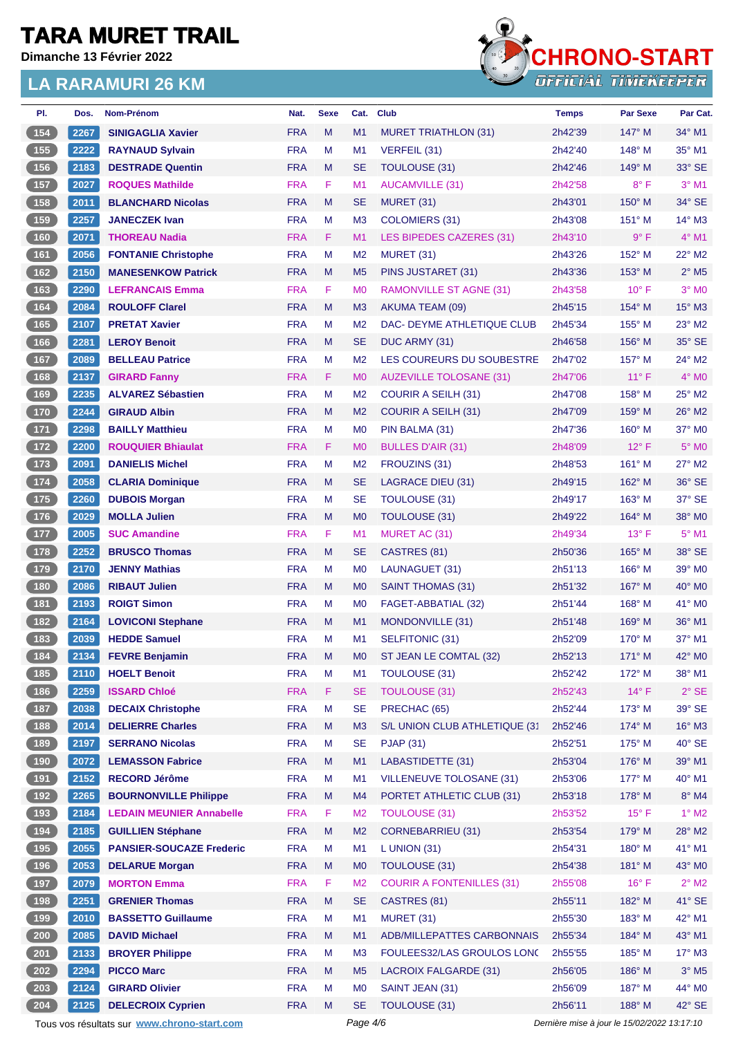**Dimanche 13 Février 2022**



| PI.                                                 | Dos. | <b>Nom-Prénom</b>                           | Nat.       | <b>Sexe</b> | Cat.           | <b>Club</b>                      | <b>Temps</b> | <b>Par Sexe</b>                             | Par Cat.                   |
|-----------------------------------------------------|------|---------------------------------------------|------------|-------------|----------------|----------------------------------|--------------|---------------------------------------------|----------------------------|
| 154                                                 | 2267 | <b>SINIGAGLIA Xavier</b>                    | <b>FRA</b> | M           | M <sub>1</sub> | <b>MURET TRIATHLON (31)</b>      | 2h42'39      | $147^\circ$ M                               | 34° M1                     |
| 155                                                 | 2222 | <b>RAYNAUD Sylvain</b>                      | <b>FRA</b> | M           | M1             | VERFEIL (31)                     | 2h42'40      | 148° M                                      | 35° M1                     |
| 156                                                 | 2183 | <b>DESTRADE Quentin</b>                     | <b>FRA</b> | M           | <b>SE</b>      | TOULOUSE (31)                    | 2h42'46      | $149^\circ$ M                               | $33^\circ$ SE              |
| 157                                                 | 2027 | <b>ROQUES Mathilde</b>                      | <b>FRA</b> | F           | M1             | <b>AUCAMVILLE (31)</b>           | 2h42'58      | $8^{\circ}$ F                               | $3°$ M1                    |
| 158                                                 | 2011 | <b>BLANCHARD Nicolas</b>                    | <b>FRA</b> | M           | <b>SE</b>      | MURET (31)                       | 2h43'01      | $150^\circ$ M                               | 34° SE                     |
| 159                                                 | 2257 | <b>JANECZEK Ivan</b>                        | <b>FRA</b> | M           | M <sub>3</sub> | COLOMIERS (31)                   | 2h43'08      | $151^\circ$ M                               | 14° M3                     |
| (160)                                               | 2071 | <b>THOREAU Nadia</b>                        | <b>FRA</b> | F           | M <sub>1</sub> | LES BIPEDES CAZERES (31)         | 2h43'10      | $9^{\circ}$ F                               | $4°$ M1                    |
| 161                                                 | 2056 | <b>FONTANIE Christophe</b>                  | <b>FRA</b> | M           | M <sub>2</sub> | MURET (31)                       | 2h43'26      | 152° M                                      | $22^{\circ}$ M2            |
| $\overline{162}$                                    | 2150 | <b>MANESENKOW Patrick</b>                   | <b>FRA</b> | M           | M <sub>5</sub> | PINS JUSTARET (31)               | 2h43'36      | 153° M                                      | $2^{\circ}$ M <sub>5</sub> |
| 163                                                 | 2290 | <b>LEFRANCAIS Emma</b>                      | <b>FRA</b> | F           | M <sub>0</sub> | <b>RAMONVILLE ST AGNE (31)</b>   | 2h43'58      | $10^{\circ}$ F                              | $3°$ MO                    |
| 164                                                 | 2084 | <b>ROULOFF Clarel</b>                       | <b>FRA</b> | M           | M <sub>3</sub> | AKUMA TEAM (09)                  | 2h45'15      | 154° M                                      | 15° M3                     |
| 165                                                 | 2107 | <b>PRETAT Xavier</b>                        | <b>FRA</b> | М           | M <sub>2</sub> | DAC- DEYME ATHLETIQUE CLUB       | 2h45'34      | $155^\circ$ M                               | $23^\circ$ M2              |
| 166                                                 | 2281 | <b>LEROY Benoit</b>                         | <b>FRA</b> | M           | <b>SE</b>      | DUC ARMY (31)                    | 2h46'58      | $156^\circ$ M                               | 35° SE                     |
| 167                                                 | 2089 | <b>BELLEAU Patrice</b>                      | <b>FRA</b> | М           | M <sub>2</sub> | LES COUREURS DU SOUBESTRE        | 2h47'02      | $157^\circ$ M                               | $24^{\circ}$ M2            |
| (168)                                               | 2137 | <b>GIRARD Fanny</b>                         | <b>FRA</b> | F           | M <sub>0</sub> | <b>AUZEVILLE TOLOSANE (31)</b>   | 2h47'06      | $11^{\circ}$ F                              | $4^\circ$ MO               |
| 169                                                 | 2235 | <b>ALVAREZ Sébastien</b>                    | <b>FRA</b> | M           | M <sub>2</sub> | COURIR A SEILH (31)              | 2h47'08      | $158^\circ$ M                               | 25° M2                     |
| $170$                                               | 2244 | <b>GIRAUD Albin</b>                         | <b>FRA</b> | M           | M <sub>2</sub> | COURIR A SEILH (31)              | 2h47'09      | $159^\circ$ M                               | 26° M2                     |
| $171$                                               | 2298 | <b>BAILLY Matthieu</b>                      | <b>FRA</b> | М           | M <sub>0</sub> | PIN BALMA (31)                   | 2h47'36      | $160^\circ$ M                               | 37° MO                     |
| 172                                                 | 2200 | <b>ROUQUIER Bhiaulat</b>                    | <b>FRA</b> | F           | M <sub>0</sub> | <b>BULLES D'AIR (31)</b>         | 2h48'09      | $12^{\circ}$ F                              | $5^\circ$ MO               |
| $173$                                               | 2091 | <b>DANIELIS Michel</b>                      | <b>FRA</b> | М           | M <sub>2</sub> | FROUZINS (31)                    | 2h48'53      | $161^\circ$ M                               | 27° M2                     |
| $174$                                               | 2058 | <b>CLARIA Dominique</b>                     | <b>FRA</b> | M           | <b>SE</b>      | <b>LAGRACE DIEU (31)</b>         | 2h49'15      | $162^\circ$ M                               | 36° SE                     |
| $175$                                               | 2260 | <b>DUBOIS Morgan</b>                        | <b>FRA</b> | M           | <b>SE</b>      | TOULOUSE (31)                    | 2h49'17      | $163^\circ$ M                               | 37° SE                     |
|                                                     |      |                                             |            |             |                |                                  |              |                                             |                            |
| $176$                                               | 2029 | <b>MOLLA Julien</b>                         | <b>FRA</b> | M           | M <sub>0</sub> | TOULOUSE (31)                    | 2h49'22      | $164^\circ$ M                               | 38° M <sub>0</sub>         |
| $\overline{177}$                                    | 2005 | <b>SUC Amandine</b>                         | <b>FRA</b> | F           | M <sub>1</sub> | MURET AC (31)                    | 2h49'34      | $13^{\circ}$ F                              | $5^{\circ}$ M1             |
| (178)                                               | 2252 | <b>BRUSCO Thomas</b>                        | <b>FRA</b> | M           | <b>SE</b>      | CASTRES (81)                     | 2h50'36      | 165° M                                      | 38° SE                     |
| 179                                                 | 2170 | <b>JENNY Mathias</b>                        | <b>FRA</b> | М           | M <sub>0</sub> | LAUNAGUET (31)                   | 2h51'13      | $166^\circ$ M                               | 39° M0                     |
| 180                                                 | 2086 | <b>RIBAUT Julien</b>                        | <b>FRA</b> | M           | M <sub>0</sub> | <b>SAINT THOMAS (31)</b>         | 2h51'32      | $167^\circ$ M                               | 40° MO                     |
| 181                                                 | 2193 | <b>ROIGT Simon</b>                          | <b>FRA</b> | М           | M <sub>0</sub> | FAGET-ABBATIAL (32)              | 2h51'44      | $168^\circ$ M                               | $41^\circ$ MO              |
| $\begin{array}{c} \hline 182 \\ \hline \end{array}$ | 2164 | <b>LOVICONI Stephane</b>                    | <b>FRA</b> | M           | M <sub>1</sub> | <b>MONDONVILLE (31)</b>          | 2h51'48      | $169^\circ$ M                               | 36° M1                     |
| 183                                                 | 2039 | <b>HEDDE Samuel</b>                         | <b>FRA</b> | М           | M <sub>1</sub> | SELFITONIC (31)                  | 2h52'09      | $170^\circ$ M                               | 37° M1                     |
| 184                                                 | 2134 | <b>FEVRE Benjamin</b>                       | <b>FRA</b> | M           | M <sub>0</sub> | ST JEAN LE COMTAL (32)           | 2h52'13      | $171^\circ$ M                               | 42° M <sub>0</sub>         |
| 185                                                 | 2110 | <b>HOELT Benoit</b>                         | <b>FRA</b> | M           | M1             | <b>TOULOUSE (31)</b>             | 2h52'42      | 172° M                                      | 38° M1                     |
| (186)                                               | 2259 | <b>ISSARD Chloé</b>                         | <b>FRA</b> | F           | <b>SE</b>      | <b>TOULOUSE (31)</b>             | 2h52'43      | 14°F                                        | $2°$ SE                    |
| 187                                                 | 2038 | <b>DECAIX Christophe</b>                    | <b>FRA</b> | M           | <b>SE</b>      | PRECHAC (65)                     | 2h52'44      | $173^\circ$ M                               | 39° SE                     |
| 188                                                 | 2014 | <b>DELIERRE Charles</b>                     | <b>FRA</b> | M           | M <sub>3</sub> | S/L UNION CLUB ATHLETIQUE (31    | 2h52'46      | 174° M                                      | 16° M3                     |
| $189$                                               | 2197 | <b>SERRANO Nicolas</b>                      | <b>FRA</b> | М           | <b>SE</b>      | <b>PJAP (31)</b>                 | 2h52'51      | $175^\circ$ M                               | $40^\circ$ SE              |
| (190)                                               | 2072 | <b>LEMASSON Fabrice</b>                     | <b>FRA</b> | M           | M1             | LABASTIDETTE (31)                | 2h53'04      | 176° M                                      | 39° M1                     |
| 191                                                 | 2152 | <b>RECORD Jérôme</b>                        | <b>FRA</b> | M           | M1             | <b>VILLENEUVE TOLOSANE (31)</b>  | 2h53'06      | $177^\circ$ M                               | 40° M1                     |
| (192)                                               | 2265 | <b>BOURNONVILLE Philippe</b>                | <b>FRA</b> | M           | M4             | PORTET ATHLETIC CLUB (31)        | 2h53'18      | 178° M                                      | $8^\circ$ M4               |
| $\begin{array}{c} \boxed{193} \end{array}$          | 2184 | <b>LEDAIN MEUNIER Annabelle</b>             | <b>FRA</b> | F           | M <sub>2</sub> | <b>TOULOUSE (31)</b>             | 2h53'52      | $15^{\circ}$ F                              | $1^\circ$ M2               |
| 194                                                 | 2185 | <b>GUILLIEN Stéphane</b>                    | <b>FRA</b> | M           | M <sub>2</sub> | <b>CORNEBARRIEU (31)</b>         | 2h53'54      | 179° M                                      | 28° M2                     |
| $195$                                               | 2055 | <b>PANSIER-SOUCAZE Frederic</b>             | <b>FRA</b> | M           | M1             | $L$ UNION (31)                   | 2h54'31      | $180^\circ$ M                               | 41° M1                     |
| (196)                                               | 2053 | <b>DELARUE Morgan</b>                       | <b>FRA</b> | M           | M <sub>0</sub> | TOULOUSE (31)                    | 2h54'38      | 181° M                                      | 43° MO                     |
| $\begin{array}{c} \n \text{197} \\ \end{array}$     | 2079 | <b>MORTON Emma</b>                          | <b>FRA</b> | F           | M <sub>2</sub> | <b>COURIR A FONTENILLES (31)</b> | 2h55'08      | $16^{\circ}$ F                              | $2^{\circ}$ M2             |
| 198                                                 | 2251 | <b>GRENIER Thomas</b>                       | <b>FRA</b> | M           | <b>SE</b>      | CASTRES (81)                     | 2h55'11      | 182° M                                      | 41° SE                     |
| 199                                                 | 2010 | <b>BASSETTO Guillaume</b>                   | <b>FRA</b> | M           | M1             | MURET (31)                       | 2h55'30      | $183^\circ$ M                               | 42° M1                     |
| 200                                                 | 2085 | <b>DAVID Michael</b>                        | <b>FRA</b> | M           | M1             | ADB/MILLEPATTES CARBONNAIS       | 2h55'34      | 184° M                                      | 43° M1                     |
| 201                                                 | 2133 | <b>BROYER Philippe</b>                      | <b>FRA</b> | M           | M <sub>3</sub> | FOULEES32/LAS GROULOS LONG       | 2h55'55      | 185° M                                      | 17° M3                     |
| 202                                                 | 2294 | <b>PICCO Marc</b>                           | <b>FRA</b> | M           | M <sub>5</sub> | <b>LACROIX FALGARDE (31)</b>     | 2h56'05      | 186° M                                      | $3^\circ$ M5               |
| 203                                                 | 2124 | <b>GIRARD Olivier</b>                       | <b>FRA</b> | М           | M <sub>0</sub> | SAINT JEAN (31)                  | 2h56'09      | 187° M                                      | 44° MO                     |
| 204                                                 | 2125 | <b>DELECROIX Cyprien</b>                    | <b>FRA</b> | M           | <b>SE</b>      | TOULOUSE (31)                    | 2h56'11      | 188° M                                      | 42° SE                     |
|                                                     |      | Tous vos résultats sur www.chrono-start.com |            |             | Page 4/6       |                                  |              | Dernière mise à jour le 15/02/2022 13:17:10 |                            |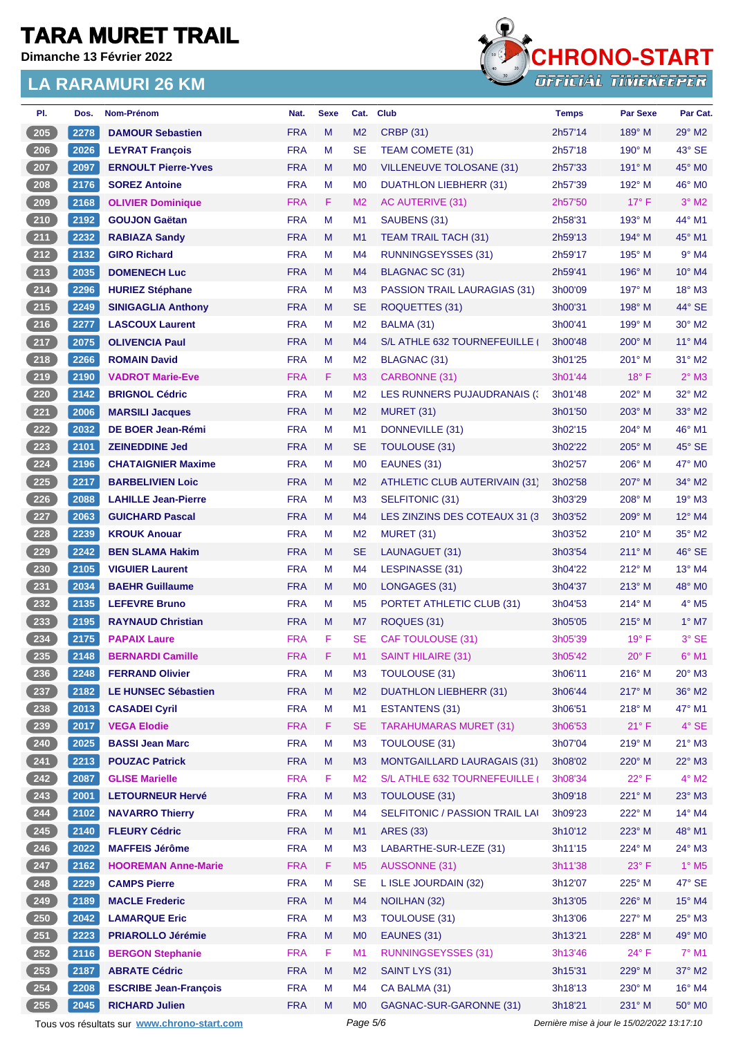**Dimanche 13 Février 2022**



| PI.   | Dos. | <b>Nom-Prénom</b>                           | Nat.       | <b>Sexe</b> | Cat.           | <b>Club</b>                        | <b>Temps</b>                                | <b>Par Sexe</b> | Par Cat.                 |
|-------|------|---------------------------------------------|------------|-------------|----------------|------------------------------------|---------------------------------------------|-----------------|--------------------------|
| 205   | 2278 | <b>DAMOUR Sebastien</b>                     | <b>FRA</b> | M           | M <sub>2</sub> | <b>CRBP (31)</b>                   | 2h57'14                                     | $189^\circ$ M   | $29^\circ$ M2            |
| 206   | 2026 | <b>LEYRAT Francois</b>                      | <b>FRA</b> | M           | <b>SE</b>      | TEAM COMETE (31)                   | 2h57'18                                     | 190° M          | 43° SE                   |
| 207   | 2097 | <b>ERNOULT Pierre-Yves</b>                  | <b>FRA</b> | M           | M <sub>0</sub> | <b>VILLENEUVE TOLOSANE (31)</b>    | 2h57'33                                     | $191^\circ$ M   | 45° MO                   |
| 208   | 2176 | <b>SOREZ Antoine</b>                        | <b>FRA</b> | M           | M <sub>0</sub> | DUATHLON LIEBHERR (31)             | 2h57'39                                     | $192^\circ$ M   | 46° M0                   |
| 209   | 2168 | <b>OLIVIER Dominique</b>                    | <b>FRA</b> | F           | M <sub>2</sub> | AC AUTERIVE (31)                   | 2h57'50                                     | $17^\circ$ F    | $3°$ M2                  |
| 210   | 2192 | <b>GOUJON Gaëtan</b>                        | <b>FRA</b> | M           | M <sub>1</sub> | SAUBENS (31)                       | 2h58'31                                     | $193^\circ$ M   | 44° M1                   |
| 211   | 2232 | <b>RABIAZA Sandy</b>                        | <b>FRA</b> | M           | M1             | <b>TEAM TRAIL TACH (31)</b>        | 2h59'13                                     | $194^\circ$ M   | 45° M1                   |
| $212$ | 2132 | <b>GIRO Richard</b>                         | <b>FRA</b> | M           | M4             | <b>RUNNINGSEYSSES (31)</b>         | 2h59'17                                     | $195^\circ$ M   | $9°$ M4                  |
| 213   | 2035 | <b>DOMENECH Luc</b>                         | <b>FRA</b> | M           | M <sub>4</sub> | BLAGNAC SC (31)                    | 2h59'41                                     | $196^\circ$ M   | $10^{\circ}$ M4          |
| 214   | 2296 | <b>HURIEZ Stéphane</b>                      | <b>FRA</b> | M           | M <sub>3</sub> | PASSION TRAIL LAURAGIAS (31)       | 3h00'09                                     | $197^\circ$ M   | 18° M3                   |
| $215$ | 2249 | <b>SINIGAGLIA Anthony</b>                   | <b>FRA</b> | M           | <b>SE</b>      | ROQUETTES (31)                     | 3h00'31                                     | $198^\circ$ M   | 44° SE                   |
| $216$ | 2277 | <b>LASCOUX Laurent</b>                      | <b>FRA</b> | M           | M <sub>2</sub> | BALMA (31)                         | 3h00'41                                     | $199^\circ$ M   | $30^\circ$ M2            |
| 217   | 2075 | <b>OLIVENCIA Paul</b>                       | <b>FRA</b> | M           | M4             | S/L ATHLE 632 TOURNEFEUILLE        | 3h00'48                                     | $200^\circ$ M   | 11° M4                   |
| 218   | 2266 | <b>ROMAIN David</b>                         | <b>FRA</b> | M           | M <sub>2</sub> | BLAGNAC (31)                       | 3h01'25                                     | 201° M          | 31° M2                   |
| 219   | 2190 | <b>VADROT Marie-Eve</b>                     | <b>FRA</b> | F           | M <sub>3</sub> | CARBONNE (31)                      | 3h01'44                                     | $18^{\circ}$ F  | $2^{\circ}$ M3           |
| 220   | 2142 | <b>BRIGNOL Cédric</b>                       | <b>FRA</b> | M           | M <sub>2</sub> | LES RUNNERS PUJAUDRANAIS (3)       | 3h01'48                                     | 202° M          | 32° M2                   |
| 221   | 2006 | <b>MARSILI Jacques</b>                      | <b>FRA</b> | M           | M <sub>2</sub> | MURET (31)                         | 3h01'50                                     | $203^\circ$ M   | 33° M2                   |
| 222   | 2032 | DE BOER Jean-Rémi                           | <b>FRA</b> | M           | M1             | DONNEVILLE (31)                    | 3h02'15                                     | 204° M          | 46° M1                   |
| 223   | 2101 | <b>ZEINEDDINE Jed</b>                       | <b>FRA</b> | M           | <b>SE</b>      | TOULOUSE (31)                      | 3h02'22                                     | $205^\circ$ M   | 45° SE                   |
| 224   | 2196 | <b>CHATAIGNIER Maxime</b>                   | <b>FRA</b> | M           | M <sub>0</sub> | EAUNES (31)                        | 3h02'57                                     | $206^\circ$ M   | 47° M0                   |
| 225   | 2217 | <b>BARBELIVIEN Loic</b>                     | <b>FRA</b> | M           | M <sub>2</sub> | ATHLETIC CLUB AUTERIVAIN (31)      | 3h02'58                                     | $207^\circ$ M   | 34° M2                   |
| 226   | 2088 | <b>LAHILLE Jean-Pierre</b>                  | <b>FRA</b> | M           | M <sub>3</sub> | SELFITONIC (31)                    | 3h03'29                                     | $208^\circ$ M   | 19° M3                   |
| 227   | 2063 | <b>GUICHARD Pascal</b>                      | <b>FRA</b> | M           | M4             | LES ZINZINS DES COTEAUX 31 (3      | 3h03'52                                     | $209^\circ$ M   | 12° M4                   |
| 228   | 2239 | <b>KROUK Anouar</b>                         | <b>FRA</b> | M           | M <sub>2</sub> | <b>MURET (31)</b>                  | 3h03'52                                     | $210^\circ$ M   | 35° M2                   |
| 229   | 2242 | <b>BEN SLAMA Hakim</b>                      | <b>FRA</b> | M           | <b>SE</b>      | LAUNAGUET (31)                     | 3h03'54                                     | $211^\circ$ M   | 46° SE                   |
| 230   | 2105 | <b>VIGUIER Laurent</b>                      | <b>FRA</b> | M           | M4             | LESPINASSE (31)                    | 3h04'22                                     | $212^{\circ}$ M | 13° M4                   |
| 231   | 2034 | <b>BAEHR Guillaume</b>                      | <b>FRA</b> | M           | M <sub>0</sub> | LONGAGES (31)                      | 3h04'37                                     | $213^\circ$ M   | 48° MO                   |
| 232   | 2135 | <b>LEFEVRE Bruno</b>                        | <b>FRA</b> | M           | M <sub>5</sub> | PORTET ATHLETIC CLUB (31)          | 3h04'53                                     | $214^\circ$ M   | $4^\circ$ M <sub>5</sub> |
| 233   | 2195 | <b>RAYNAUD Christian</b>                    | <b>FRA</b> | M           | M7             | ROQUES (31)                        | 3h05'05                                     | $215^\circ$ M   | $1^\circ$ M7             |
| 234   | 2175 | <b>PAPAIX Laure</b>                         | <b>FRA</b> | F           | <b>SE</b>      | <b>CAF TOULOUSE (31)</b>           | 3h05'39                                     | $19^{\circ}$ F  | 3° SE                    |
| 235   | 2148 | <b>BERNARDI Camille</b>                     | <b>FRA</b> | F           | M <sub>1</sub> | <b>SAINT HILAIRE (31)</b>          | 3h05'42                                     | 20° F           | $6^{\circ}$ M1           |
| 236   | 2248 | <b>FERRAND Olivier</b>                      | <b>FRA</b> | M           | M <sub>3</sub> | <b>TOULOUSE (31)</b>               | 3h06'11                                     | $216^\circ$ M   | 20° M3                   |
| 237   | 2182 | <b>LE HUNSEC Sébastien</b>                  | <b>FRA</b> | M           | M <sub>2</sub> | <b>DUATHLON LIEBHERR (31)</b>      | 3h06'44                                     | 217° M          | 36° M2                   |
| 238   | 2013 | <b>CASADEI Cyril</b>                        | <b>FRA</b> | M           | M <sub>1</sub> | <b>ESTANTENS (31)</b>              | 3h06'51                                     | $218^\circ$ M   | 47° M1                   |
| 239   | 2017 | <b>VEGA Elodie</b>                          | <b>FRA</b> | F           | <b>SE</b>      | <b>TARAHUMARAS MURET (31)</b>      | 3h06'53                                     | 21° F           | $4^{\circ}$ SE           |
| 240   | 2025 | <b>BASSI Jean Marc</b>                      | <b>FRA</b> | M           | M <sub>3</sub> | <b>TOULOUSE (31)</b>               | 3h07'04                                     | 219° M          | $21^{\circ}$ M3          |
| 241   | 2213 | <b>POUZAC Patrick</b>                       | <b>FRA</b> | M           | M3             | <b>MONTGAILLARD LAURAGAIS (31)</b> | 3h08'02                                     | 220° M          | 22° M3                   |
| 242   | 2087 | <b>GLISE Marielle</b>                       | <b>FRA</b> | F           | M <sub>2</sub> | S/L ATHLE 632 TOURNEFEUILLE (      | 3h08'34                                     | $22^{\circ}$ F  | $4^\circ$ M2             |
| 243   | 2001 | <b>LETOURNEUR Hervé</b>                     | <b>FRA</b> | M           | M <sub>3</sub> | TOULOUSE (31)                      | 3h09'18                                     | 221° M          | $23^\circ$ M3            |
| 244   | 2102 | <b>NAVARRO Thierry</b>                      | <b>FRA</b> | M           | M4             | SELFITONIC / PASSION TRAIL LAI     | 3h09'23                                     | 222° M          | 14° M4                   |
| 245   | 2140 | <b>FLEURY Cédric</b>                        | <b>FRA</b> | M           | M1             | <b>ARES (33)</b>                   | 3h10'12                                     | 223° M          | 48° M1                   |
| 246   | 2022 | <b>MAFFEIS Jérôme</b>                       | <b>FRA</b> | M           | M <sub>3</sub> | LABARTHE-SUR-LEZE (31)             | 3h11'15                                     | 224° M          | 24° M3                   |
| 247   | 2162 | <b>HOOREMAN Anne-Marie</b>                  | <b>FRA</b> | F           | M <sub>5</sub> | <b>AUSSONNE (31)</b>               | 3h11'38                                     | $23^{\circ}$ F  | $1^\circ$ M5             |
| 248   | 2229 | <b>CAMPS Pierre</b>                         | <b>FRA</b> | M           | <b>SE</b>      | L ISLE JOURDAIN (32)               | 3h12'07                                     | 225° M          | $47^\circ$ SE            |
| 249   | 2189 | <b>MACLE Frederic</b>                       | <b>FRA</b> | M           | M4             | NOILHAN (32)                       | 3h13'05                                     | 226° M          | 15° M4                   |
| 250   | 2042 | <b>LAMARQUE Eric</b>                        | <b>FRA</b> | M           | M <sub>3</sub> | TOULOUSE (31)                      | 3h13'06                                     | 227° M          | $25^{\circ}$ M3          |
| 251   | 2223 | <b>PRIAROLLO Jérémie</b>                    | <b>FRA</b> | M           | M <sub>0</sub> | EAUNES (31)                        | 3h13'21                                     | 228° M          | 49° MO                   |
| 252   | 2116 | <b>BERGON Stephanie</b>                     | <b>FRA</b> | F           | M1             | <b>RUNNINGSEYSSES (31)</b>         | 3h13'46                                     | $24^{\circ}$ F  | $7^\circ$ M1             |
| 253   | 2187 | <b>ABRATE Cédric</b>                        | <b>FRA</b> | M           | M <sub>2</sub> | SAINT LYS (31)                     | 3h15'31                                     | 229° M          | 37° M2                   |
| 254   | 2208 | <b>ESCRIBE Jean-François</b>                | <b>FRA</b> | M           | M4             | CA BALMA (31)                      | 3h18'13                                     | 230° M          | 16° M4                   |
| 255   | 2045 | <b>RICHARD Julien</b>                       | <b>FRA</b> | M           | M <sub>0</sub> | GAGNAC-SUR-GARONNE (31)            | 3h18'21                                     | 231° M          | 50° MO                   |
|       |      | Tous vos résultats sur www.chrono-start.com |            |             | Page 5/6       |                                    | Dernière mise à jour le 15/02/2022 13:17:10 |                 |                          |